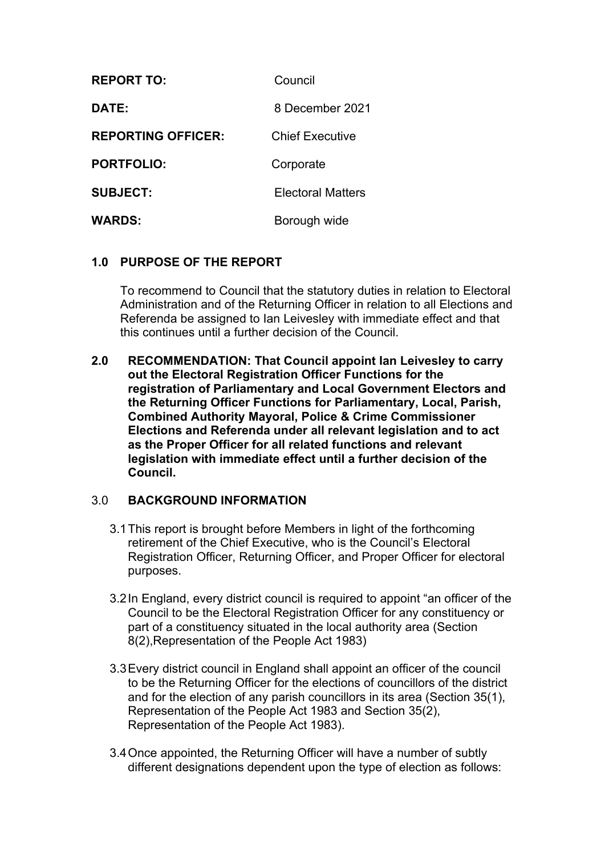| <b>REPORT TO:</b>         | Council                  |
|---------------------------|--------------------------|
| <b>DATE:</b>              | 8 December 2021          |
| <b>REPORTING OFFICER:</b> | <b>Chief Executive</b>   |
| <b>PORTFOLIO:</b>         | Corporate                |
| <b>SUBJECT:</b>           | <b>Electoral Matters</b> |
| <b>WARDS:</b>             | Borough wide             |

## **1.0 PURPOSE OF THE REPORT**

To recommend to Council that the statutory duties in relation to Electoral Administration and of the Returning Officer in relation to all Elections and Referenda be assigned to Ian Leivesley with immediate effect and that this continues until a further decision of the Council.

**2.0 RECOMMENDATION: That Council appoint Ian Leivesley to carry out the Electoral Registration Officer Functions for the registration of Parliamentary and Local Government Electors and the Returning Officer Functions for Parliamentary, Local, Parish, Combined Authority Mayoral, Police & Crime Commissioner Elections and Referenda under all relevant legislation and to act as the Proper Officer for all related functions and relevant legislation with immediate effect until a further decision of the Council.**

## 3.0 **BACKGROUND INFORMATION**

- 3.1This report is brought before Members in light of the forthcoming retirement of the Chief Executive, who is the Council's Electoral Registration Officer, Returning Officer, and Proper Officer for electoral purposes.
- 3.2In England, every district council is required to appoint "an officer of the Council to be the Electoral Registration Officer for any constituency or part of a constituency situated in the local authority area (Section 8(2),Representation of the People Act 1983)
- 3.3Every district council in England shall appoint an officer of the council to be the Returning Officer for the elections of councillors of the district and for the election of any parish councillors in its area (Section 35(1), Representation of the People Act 1983 and Section 35(2), Representation of the People Act 1983).
- 3.4Once appointed, the Returning Officer will have a number of subtly different designations dependent upon the type of election as follows: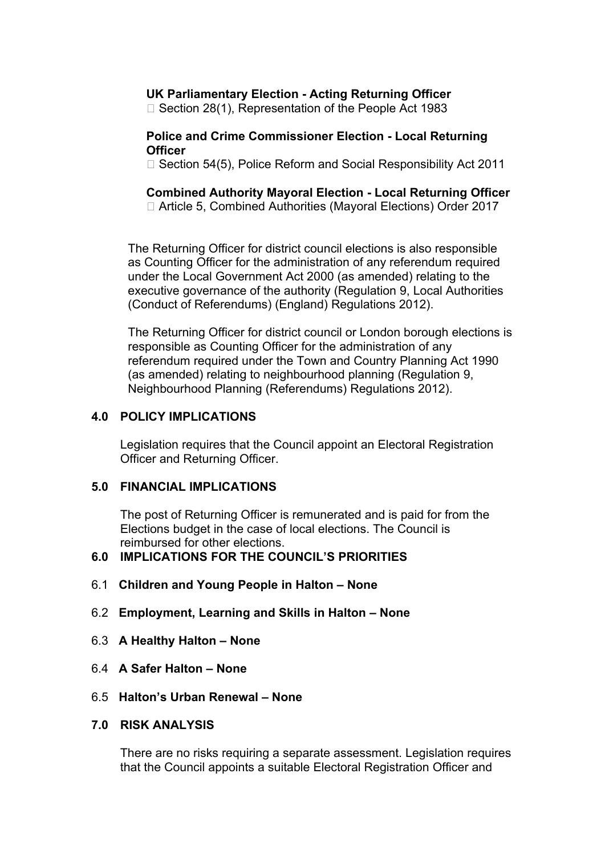## **UK Parliamentary Election - Acting Returning Officer**

□ Section 28(1), Representation of the People Act 1983

#### **Police and Crime Commissioner Election - Local Returning Officer**

□ Section 54(5), Police Reform and Social Responsibility Act 2011

**Combined Authority Mayoral Election - Local Returning Officer** □ Article 5, Combined Authorities (Mayoral Elections) Order 2017

The Returning Officer for district council elections is also responsible as Counting Officer for the administration of any referendum required under the Local Government Act 2000 (as amended) relating to the executive governance of the authority (Regulation 9, Local Authorities (Conduct of Referendums) (England) Regulations 2012).

The Returning Officer for district council or London borough elections is responsible as Counting Officer for the administration of any referendum required under the Town and Country Planning Act 1990 (as amended) relating to neighbourhood planning (Regulation 9, Neighbourhood Planning (Referendums) Regulations 2012).

## **4.0 POLICY IMPLICATIONS**

Legislation requires that the Council appoint an Electoral Registration Officer and Returning Officer.

#### **5.0 FINANCIAL IMPLICATIONS**

The post of Returning Officer is remunerated and is paid for from the Elections budget in the case of local elections. The Council is reimbursed for other elections.

## **6.0 IMPLICATIONS FOR THE COUNCIL'S PRIORITIES**

- 6.1 **Children and Young People in Halton – None**
- 6.2 **Employment, Learning and Skills in Halton – None**
- 6.3 **A Healthy Halton – None**
- 6.4 **A Safer Halton – None**

#### 6.5 **Halton's Urban Renewal – None**

#### **7.0 RISK ANALYSIS**

There are no risks requiring a separate assessment. Legislation requires that the Council appoints a suitable Electoral Registration Officer and